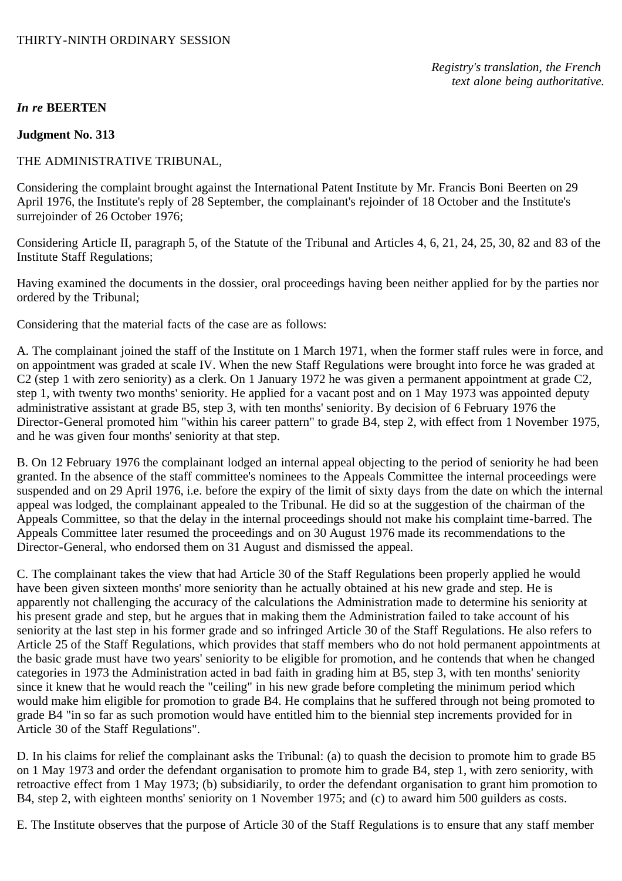## *In re* **BEERTEN**

### **Judgment No. 313**

#### THE ADMINISTRATIVE TRIBUNAL,

Considering the complaint brought against the International Patent Institute by Mr. Francis Boni Beerten on 29 April 1976, the Institute's reply of 28 September, the complainant's rejoinder of 18 October and the Institute's surrejoinder of 26 October 1976;

Considering Article II, paragraph 5, of the Statute of the Tribunal and Articles 4, 6, 21, 24, 25, 30, 82 and 83 of the Institute Staff Regulations;

Having examined the documents in the dossier, oral proceedings having been neither applied for by the parties nor ordered by the Tribunal;

Considering that the material facts of the case are as follows:

A. The complainant joined the staff of the Institute on 1 March 1971, when the former staff rules were in force, and on appointment was graded at scale IV. When the new Staff Regulations were brought into force he was graded at C2 (step 1 with zero seniority) as a clerk. On 1 January 1972 he was given a permanent appointment at grade C2, step 1, with twenty two months' seniority. He applied for a vacant post and on 1 May 1973 was appointed deputy administrative assistant at grade B5, step 3, with ten months' seniority. By decision of 6 February 1976 the Director-General promoted him "within his career pattern" to grade B4, step 2, with effect from 1 November 1975, and he was given four months' seniority at that step.

B. On 12 February 1976 the complainant lodged an internal appeal objecting to the period of seniority he had been granted. In the absence of the staff committee's nominees to the Appeals Committee the internal proceedings were suspended and on 29 April 1976, i.e. before the expiry of the limit of sixty days from the date on which the internal appeal was lodged, the complainant appealed to the Tribunal. He did so at the suggestion of the chairman of the Appeals Committee, so that the delay in the internal proceedings should not make his complaint time-barred. The Appeals Committee later resumed the proceedings and on 30 August 1976 made its recommendations to the Director-General, who endorsed them on 31 August and dismissed the appeal.

C. The complainant takes the view that had Article 30 of the Staff Regulations been properly applied he would have been given sixteen months' more seniority than he actually obtained at his new grade and step. He is apparently not challenging the accuracy of the calculations the Administration made to determine his seniority at his present grade and step, but he argues that in making them the Administration failed to take account of his seniority at the last step in his former grade and so infringed Article 30 of the Staff Regulations. He also refers to Article 25 of the Staff Regulations, which provides that staff members who do not hold permanent appointments at the basic grade must have two years' seniority to be eligible for promotion, and he contends that when he changed categories in 1973 the Administration acted in bad faith in grading him at B5, step 3, with ten months' seniority since it knew that he would reach the "ceiling" in his new grade before completing the minimum period which would make him eligible for promotion to grade B4. He complains that he suffered through not being promoted to grade B4 "in so far as such promotion would have entitled him to the biennial step increments provided for in Article 30 of the Staff Regulations".

D. In his claims for relief the complainant asks the Tribunal: (a) to quash the decision to promote him to grade B5 on 1 May 1973 and order the defendant organisation to promote him to grade B4, step 1, with zero seniority, with retroactive effect from 1 May 1973; (b) subsidiarily, to order the defendant organisation to grant him promotion to B4, step 2, with eighteen months' seniority on 1 November 1975; and (c) to award him 500 guilders as costs.

E. The Institute observes that the purpose of Article 30 of the Staff Regulations is to ensure that any staff member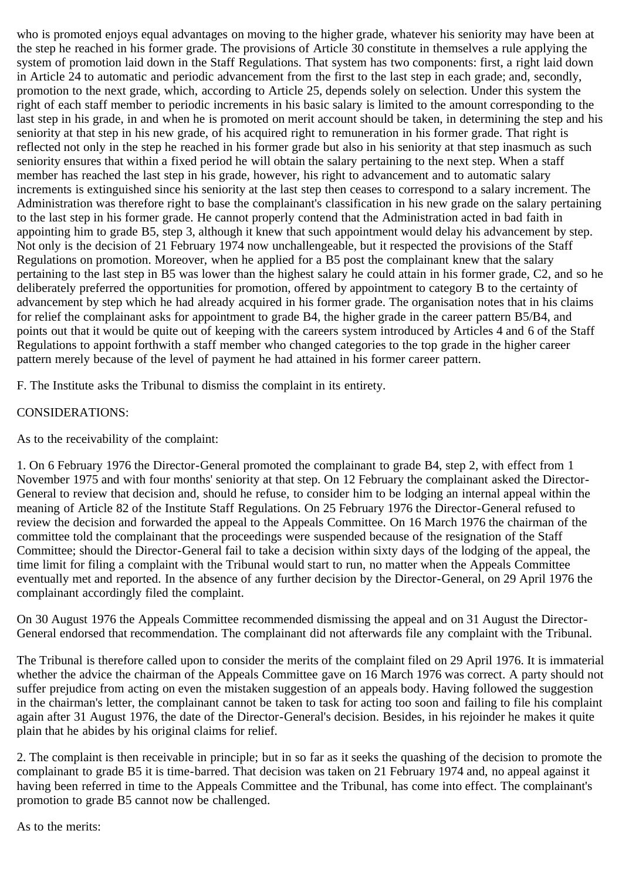who is promoted enjoys equal advantages on moving to the higher grade, whatever his seniority may have been at the step he reached in his former grade. The provisions of Article 30 constitute in themselves a rule applying the system of promotion laid down in the Staff Regulations. That system has two components: first, a right laid down in Article 24 to automatic and periodic advancement from the first to the last step in each grade; and, secondly, promotion to the next grade, which, according to Article 25, depends solely on selection. Under this system the right of each staff member to periodic increments in his basic salary is limited to the amount corresponding to the last step in his grade, in and when he is promoted on merit account should be taken, in determining the step and his seniority at that step in his new grade, of his acquired right to remuneration in his former grade. That right is reflected not only in the step he reached in his former grade but also in his seniority at that step inasmuch as such seniority ensures that within a fixed period he will obtain the salary pertaining to the next step. When a staff member has reached the last step in his grade, however, his right to advancement and to automatic salary increments is extinguished since his seniority at the last step then ceases to correspond to a salary increment. The Administration was therefore right to base the complainant's classification in his new grade on the salary pertaining to the last step in his former grade. He cannot properly contend that the Administration acted in bad faith in appointing him to grade B5, step 3, although it knew that such appointment would delay his advancement by step. Not only is the decision of 21 February 1974 now unchallengeable, but it respected the provisions of the Staff Regulations on promotion. Moreover, when he applied for a B5 post the complainant knew that the salary pertaining to the last step in B5 was lower than the highest salary he could attain in his former grade, C2, and so he deliberately preferred the opportunities for promotion, offered by appointment to category B to the certainty of advancement by step which he had already acquired in his former grade. The organisation notes that in his claims for relief the complainant asks for appointment to grade B4, the higher grade in the career pattern B5/B4, and points out that it would be quite out of keeping with the careers system introduced by Articles 4 and 6 of the Staff Regulations to appoint forthwith a staff member who changed categories to the top grade in the higher career pattern merely because of the level of payment he had attained in his former career pattern.

F. The Institute asks the Tribunal to dismiss the complaint in its entirety.

## CONSIDERATIONS:

As to the receivability of the complaint:

1. On 6 February 1976 the Director-General promoted the complainant to grade B4, step 2, with effect from 1 November 1975 and with four months' seniority at that step. On 12 February the complainant asked the Director-General to review that decision and, should he refuse, to consider him to be lodging an internal appeal within the meaning of Article 82 of the Institute Staff Regulations. On 25 February 1976 the Director-General refused to review the decision and forwarded the appeal to the Appeals Committee. On 16 March 1976 the chairman of the committee told the complainant that the proceedings were suspended because of the resignation of the Staff Committee; should the Director-General fail to take a decision within sixty days of the lodging of the appeal, the time limit for filing a complaint with the Tribunal would start to run, no matter when the Appeals Committee eventually met and reported. In the absence of any further decision by the Director-General, on 29 April 1976 the complainant accordingly filed the complaint.

On 30 August 1976 the Appeals Committee recommended dismissing the appeal and on 31 August the Director-General endorsed that recommendation. The complainant did not afterwards file any complaint with the Tribunal.

The Tribunal is therefore called upon to consider the merits of the complaint filed on 29 April 1976. It is immaterial whether the advice the chairman of the Appeals Committee gave on 16 March 1976 was correct. A party should not suffer prejudice from acting on even the mistaken suggestion of an appeals body. Having followed the suggestion in the chairman's letter, the complainant cannot be taken to task for acting too soon and failing to file his complaint again after 31 August 1976, the date of the Director-General's decision. Besides, in his rejoinder he makes it quite plain that he abides by his original claims for relief.

2. The complaint is then receivable in principle; but in so far as it seeks the quashing of the decision to promote the complainant to grade B5 it is time-barred. That decision was taken on 21 February 1974 and, no appeal against it having been referred in time to the Appeals Committee and the Tribunal, has come into effect. The complainant's promotion to grade B5 cannot now be challenged.

As to the merits: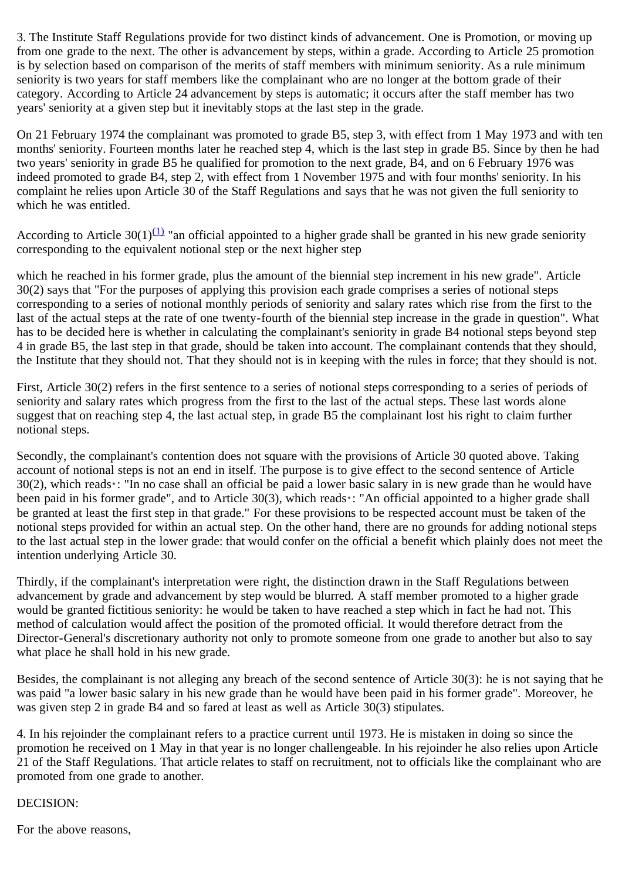3. The Institute Staff Regulations provide for two distinct kinds of advancement. One is Promotion, or moving up from one grade to the next. The other is advancement by steps, within a grade. According to Article 25 promotion is by selection based on comparison of the merits of staff members with minimum seniority. As a rule minimum seniority is two years for staff members like the complainant who are no longer at the bottom grade of their category. According to Article 24 advancement by steps is automatic; it occurs after the staff member has two years' seniority at a given step but it inevitably stops at the last step in the grade.

On 21 February 1974 the complainant was promoted to grade B5, step 3, with effect from 1 May 1973 and with ten months' seniority. Fourteen months later he reached step 4, which is the last step in grade B5. Since by then he had two years' seniority in grade B5 he qualified for promotion to the next grade, B4, and on 6 February 1976 was indeed promoted to grade B4, step 2, with effect from 1 November 1975 and with four months' seniority. In his complaint he relies upon Article 30 of the Staff Regulations and says that he was not given the full seniority to which he was entitled.

According to Article 30(1)<sup>(1)</sup> "an official appointed to a higher grade shall be granted in his new grade seniority corresponding to the equivalent notional step or the next higher step

which he reached in his former grade, plus the amount of the biennial step increment in his new grade". Article 30(2) says that "For the purposes of applying this provision each grade comprises a series of notional steps corresponding to a series of notional monthly periods of seniority and salary rates which rise from the first to the last of the actual steps at the rate of one twenty-fourth of the biennial step increase in the grade in question". What has to be decided here is whether in calculating the complainant's seniority in grade B4 notional steps beyond step 4 in grade B5, the last step in that grade, should be taken into account. The complainant contends that they should, the Institute that they should not. That they should not is in keeping with the rules in force; that they should is not.

First, Article 30(2) refers in the first sentence to a series of notional steps corresponding to a series of periods of seniority and salary rates which progress from the first to the last of the actual steps. These last words alone suggest that on reaching step 4, the last actual step, in grade B5 the complainant lost his right to claim further notional steps.

Secondly, the complainant's contention does not square with the provisions of Article 30 quoted above. Taking account of notional steps is not an end in itself. The purpose is to give effect to the second sentence of Article  $30(2)$ , which reads<sup>\*</sup>: "In no case shall an official be paid a lower basic salary in is new grade than he would have been paid in his former grade", and to Article 30(3), which reads\*: "An official appointed to a higher grade shall be granted at least the first step in that grade." For these provisions to be respected account must be taken of the notional steps provided for within an actual step. On the other hand, there are no grounds for adding notional steps to the last actual step in the lower grade: that would confer on the official a benefit which plainly does not meet the intention underlying Article 30.

Thirdly, if the complainant's interpretation were right, the distinction drawn in the Staff Regulations between advancement by grade and advancement by step would be blurred. A staff member promoted to a higher grade would be granted fictitious seniority: he would be taken to have reached a step which in fact he had not. This method of calculation would affect the position of the promoted official. It would therefore detract from the Director-General's discretionary authority not only to promote someone from one grade to another but also to say what place he shall hold in his new grade.

Besides, the complainant is not alleging any breach of the second sentence of Article 30(3): he is not saying that he was paid "a lower basic salary in his new grade than he would have been paid in his former grade". Moreover, he was given step 2 in grade B4 and so fared at least as well as Article 30(3) stipulates.

4. In his rejoinder the complainant refers to a practice current until 1973. He is mistaken in doing so since the promotion he received on 1 May in that year is no longer challengeable. In his rejoinder he also relies upon Article 21 of the Staff Regulations. That article relates to staff on recruitment, not to officials like the complainant who are promoted from one grade to another.

# DECISION:

For the above reasons,